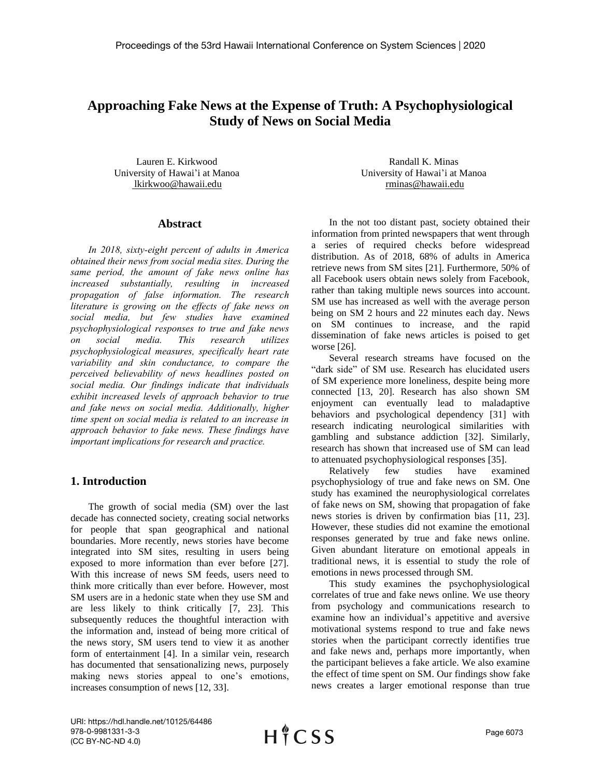# **Approaching Fake News at the Expense of Truth: A Psychophysiological Study of News on Social Media**

Lauren E. Kirkwood University of Hawai'i at Manoa lkirkwoo@hawaii.edu

### **Abstract**

*In 2018, sixty-eight percent of adults in America obtained their news from social media sites. During the same period, the amount of fake news online has increased substantially, resulting in increased propagation of false information. The research literature is growing on the effects of fake news on social media, but few studies have examined psychophysiological responses to true and fake news on social media. This research utilizes psychophysiological measures, specifically heart rate variability and skin conductance, to compare the perceived believability of news headlines posted on social media. Our findings indicate that individuals exhibit increased levels of approach behavior to true and fake news on social media. Additionally, higher time spent on social media is related to an increase in approach behavior to fake news. These findings have important implications for research and practice.*

# **1. Introduction**

The growth of social media (SM) over the last decade has connected society, creating social networks for people that span geographical and national boundaries. More recently, news stories have become integrated into SM sites, resulting in users being exposed to more information than ever before [27]. With this increase of news SM feeds, users need to think more critically than ever before. However, most SM users are in a hedonic state when they use SM and are less likely to think critically [7, 23]. This subsequently reduces the thoughtful interaction with the information and, instead of being more critical of the news story, SM users tend to view it as another form of entertainment [4]. In a similar vein, research has documented that sensationalizing news, purposely making news stories appeal to one's emotions, increases consumption of news [12, 33].

Randall K. Minas University of Hawai'i at Manoa rminas@hawaii.edu

In the not too distant past, society obtained their information from printed newspapers that went through a series of required checks before widespread distribution. As of 2018, 68% of adults in America retrieve news from SM sites [21]. Furthermore, 50% of all Facebook users obtain news solely from Facebook, rather than taking multiple news sources into account. SM use has increased as well with the average person being on SM 2 hours and 22 minutes each day. News on SM continues to increase, and the rapid dissemination of fake news articles is poised to get worse [26].

Several research streams have focused on the "dark side" of SM use. Research has elucidated users of SM experience more loneliness, despite being more connected [13, 20]. Research has also shown SM enjoyment can eventually lead to maladaptive behaviors and psychological dependency [31] with research indicating neurological similarities with gambling and substance addiction [32]. Similarly, research has shown that increased use of SM can lead to attenuated psychophysiological responses [35].

Relatively few studies have examined psychophysiology of true and fake news on SM. One study has examined the neurophysiological correlates of fake news on SM, showing that propagation of fake news stories is driven by confirmation bias [11, 23]. However, these studies did not examine the emotional responses generated by true and fake news online. Given abundant literature on emotional appeals in traditional news, it is essential to study the role of emotions in news processed through SM.

This study examines the psychophysiological correlates of true and fake news online. We use theory from psychology and communications research to examine how an individual's appetitive and aversive motivational systems respond to true and fake news stories when the participant correctly identifies true and fake news and, perhaps more importantly, when the participant believes a fake article. We also examine the effect of time spent on SM. Our findings show fake news creates a larger emotional response than true

URI: https://hdl.handle.net/10125/64486 978-0-9981331-3-3 (CC BY-NC-ND 4.0)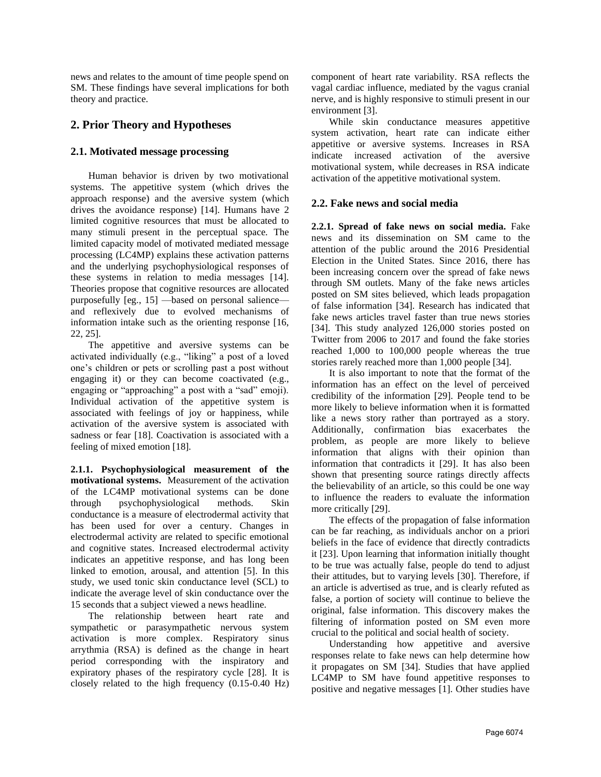news and relates to the amount of time people spend on SM. These findings have several implications for both theory and practice.

# **2. Prior Theory and Hypotheses**

# **2.1. Motivated message processing**

Human behavior is driven by two motivational systems. The appetitive system (which drives the approach response) and the aversive system (which drives the avoidance response) [14]. Humans have 2 limited cognitive resources that must be allocated to many stimuli present in the perceptual space. The limited capacity model of motivated mediated message processing (LC4MP) explains these activation patterns and the underlying psychophysiological responses of these systems in relation to media messages [14]. Theories propose that cognitive resources are allocated purposefully [eg., 15] —based on personal salience and reflexively due to evolved mechanisms of information intake such as the orienting response [16, 22, 25].

The appetitive and aversive systems can be activated individually (e.g., "liking" a post of a loved one's children or pets or scrolling past a post without engaging it) or they can become coactivated (e.g., engaging or "approaching" a post with a "sad" emoji). Individual activation of the appetitive system is associated with feelings of joy or happiness, while activation of the aversive system is associated with sadness or fear [18]. Coactivation is associated with a feeling of mixed emotion [18].

**2.1.1. Psychophysiological measurement of the motivational systems.** Measurement of the activation of the LC4MP motivational systems can be done through psychophysiological methods. Skin conductance is a measure of electrodermal activity that has been used for over a century. Changes in electrodermal activity are related to specific emotional and cognitive states. Increased electrodermal activity indicates an appetitive response, and has long been linked to emotion, arousal, and attention [5]. In this study, we used tonic skin conductance level (SCL) to indicate the average level of skin conductance over the 15 seconds that a subject viewed a news headline.

The relationship between heart rate and sympathetic or parasympathetic nervous system activation is more complex. Respiratory sinus arrythmia (RSA) is defined as the change in heart period corresponding with the inspiratory and expiratory phases of the respiratory cycle [28]. It is closely related to the high frequency (0.15-0.40 Hz) component of heart rate variability. RSA reflects the vagal cardiac influence, mediated by the vagus cranial nerve, and is highly responsive to stimuli present in our environment [3].

While skin conductance measures appetitive system activation, heart rate can indicate either appetitive or aversive systems. Increases in RSA indicate increased activation of the aversive motivational system, while decreases in RSA indicate activation of the appetitive motivational system.

# **2.2. Fake news and social media**

**2.2.1. Spread of fake news on social media.** Fake news and its dissemination on SM came to the attention of the public around the 2016 Presidential Election in the United States. Since 2016, there has been increasing concern over the spread of fake news through SM outlets. Many of the fake news articles posted on SM sites believed, which leads propagation of false information [34]. Research has indicated that fake news articles travel faster than true news stories [34]. This study analyzed 126,000 stories posted on Twitter from 2006 to 2017 and found the fake stories reached 1,000 to 100,000 people whereas the true stories rarely reached more than 1,000 people [34].

It is also important to note that the format of the information has an effect on the level of perceived credibility of the information [29]. People tend to be more likely to believe information when it is formatted like a news story rather than portrayed as a story. Additionally, confirmation bias exacerbates the problem, as people are more likely to believe information that aligns with their opinion than information that contradicts it [29]. It has also been shown that presenting source ratings directly affects the believability of an article, so this could be one way to influence the readers to evaluate the information more critically [29].

The effects of the propagation of false information can be far reaching, as individuals anchor on a priori beliefs in the face of evidence that directly contradicts it [23]. Upon learning that information initially thought to be true was actually false, people do tend to adjust their attitudes, but to varying levels [30]. Therefore, if an article is advertised as true, and is clearly refuted as false, a portion of society will continue to believe the original, false information. This discovery makes the filtering of information posted on SM even more crucial to the political and social health of society.

Understanding how appetitive and aversive responses relate to fake news can help determine how it propagates on SM [34]. Studies that have applied LC4MP to SM have found appetitive responses to positive and negative messages [1]. Other studies have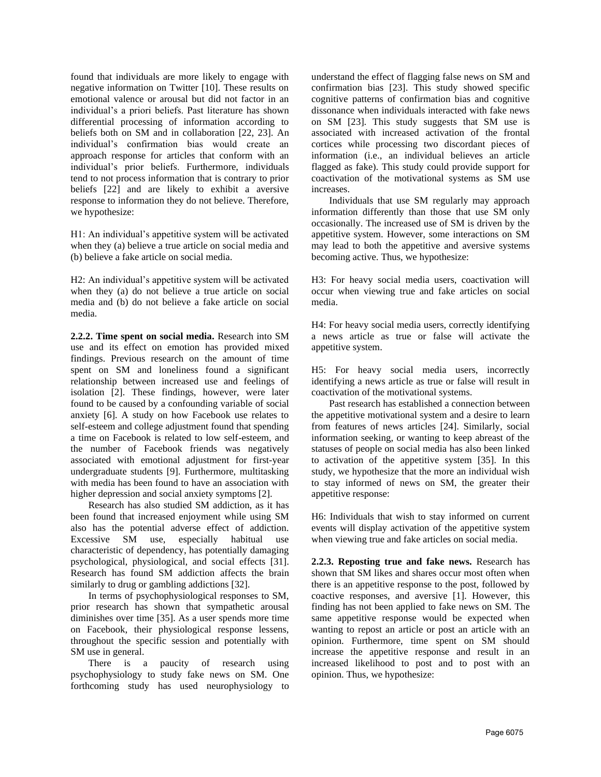found that individuals are more likely to engage with negative information on Twitter [10]. These results on emotional valence or arousal but did not factor in an individual's a priori beliefs. Past literature has shown differential processing of information according to beliefs both on SM and in collaboration [22, 23]. An individual's confirmation bias would create an approach response for articles that conform with an individual's prior beliefs. Furthermore, individuals tend to not process information that is contrary to prior beliefs [22] and are likely to exhibit a aversive response to information they do not believe. Therefore, we hypothesize:

H1: An individual's appetitive system will be activated when they (a) believe a true article on social media and (b) believe a fake article on social media.

H2: An individual's appetitive system will be activated when they (a) do not believe a true article on social media and (b) do not believe a fake article on social media.

**2.2.2. Time spent on social media.** Research into SM use and its effect on emotion has provided mixed findings. Previous research on the amount of time spent on SM and loneliness found a significant relationship between increased use and feelings of isolation [2]. These findings, however, were later found to be caused by a confounding variable of social anxiety [6]. A study on how Facebook use relates to self-esteem and college adjustment found that spending a time on Facebook is related to low self-esteem, and the number of Facebook friends was negatively associated with emotional adjustment for first-year undergraduate students [9]. Furthermore, multitasking with media has been found to have an association with higher depression and social anxiety symptoms [2].

Research has also studied SM addiction, as it has been found that increased enjoyment while using SM also has the potential adverse effect of addiction. Excessive SM use, especially habitual use characteristic of dependency, has potentially damaging psychological, physiological, and social effects [31]. Research has found SM addiction affects the brain similarly to drug or gambling addictions [32].

In terms of psychophysiological responses to SM, prior research has shown that sympathetic arousal diminishes over time [35]. As a user spends more time on Facebook, their physiological response lessens, throughout the specific session and potentially with SM use in general.

There is a paucity of research using psychophysiology to study fake news on SM. One forthcoming study has used neurophysiology to understand the effect of flagging false news on SM and confirmation bias [23]. This study showed specific cognitive patterns of confirmation bias and cognitive dissonance when individuals interacted with fake news on SM [23]. This study suggests that SM use is associated with increased activation of the frontal cortices while processing two discordant pieces of information (i.e., an individual believes an article flagged as fake). This study could provide support for coactivation of the motivational systems as SM use increases.

Individuals that use SM regularly may approach information differently than those that use SM only occasionally. The increased use of SM is driven by the appetitive system. However, some interactions on SM may lead to both the appetitive and aversive systems becoming active. Thus, we hypothesize:

H3: For heavy social media users, coactivation will occur when viewing true and fake articles on social media.

H4: For heavy social media users, correctly identifying a news article as true or false will activate the appetitive system.

H5: For heavy social media users, incorrectly identifying a news article as true or false will result in coactivation of the motivational systems.

Past research has established a connection between the appetitive motivational system and a desire to learn from features of news articles [24]. Similarly, social information seeking, or wanting to keep abreast of the statuses of people on social media has also been linked to activation of the appetitive system [35]. In this study, we hypothesize that the more an individual wish to stay informed of news on SM, the greater their appetitive response:

H6: Individuals that wish to stay informed on current events will display activation of the appetitive system when viewing true and fake articles on social media.

**2.2.3. Reposting true and fake news.** Research has shown that SM likes and shares occur most often when there is an appetitive response to the post, followed by coactive responses, and aversive [1]. However, this finding has not been applied to fake news on SM. The same appetitive response would be expected when wanting to repost an article or post an article with an opinion. Furthermore, time spent on SM should increase the appetitive response and result in an increased likelihood to post and to post with an opinion. Thus, we hypothesize: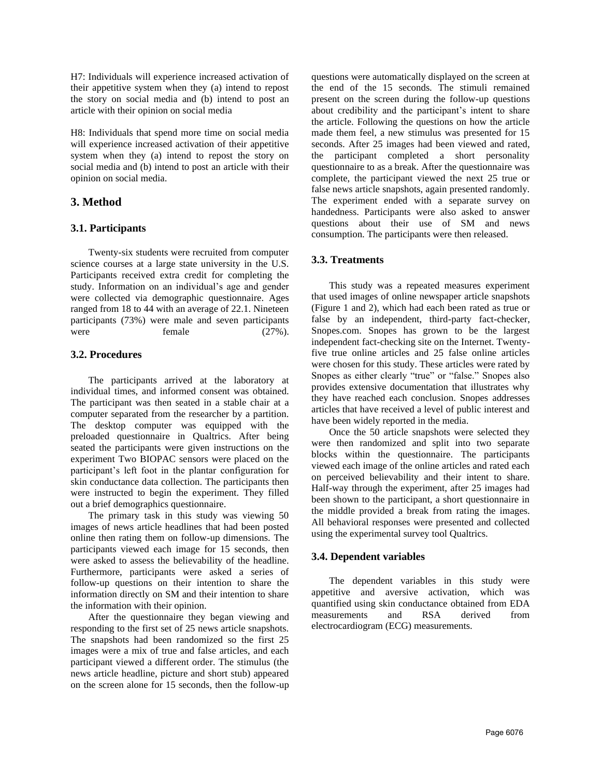H7: Individuals will experience increased activation of their appetitive system when they (a) intend to repost the story on social media and (b) intend to post an article with their opinion on social media

H8: Individuals that spend more time on social media will experience increased activation of their appetitive system when they (a) intend to repost the story on social media and (b) intend to post an article with their opinion on social media.

# **3. Method**

#### **3.1. Participants**

Twenty-six students were recruited from computer science courses at a large state university in the U.S. Participants received extra credit for completing the study. Information on an individual's age and gender were collected via demographic questionnaire. Ages ranged from 18 to 44 with an average of 22.1. Nineteen participants (73%) were male and seven participants were female  $(27\%)$ .

#### **3.2. Procedures**

The participants arrived at the laboratory at individual times, and informed consent was obtained. The participant was then seated in a stable chair at a computer separated from the researcher by a partition. The desktop computer was equipped with the preloaded questionnaire in Qualtrics. After being seated the participants were given instructions on the experiment Two BIOPAC sensors were placed on the participant's left foot in the plantar configuration for skin conductance data collection. The participants then were instructed to begin the experiment. They filled out a brief demographics questionnaire.

The primary task in this study was viewing 50 images of news article headlines that had been posted online then rating them on follow-up dimensions. The participants viewed each image for 15 seconds, then were asked to assess the believability of the headline. Furthermore, participants were asked a series of follow-up questions on their intention to share the information directly on SM and their intention to share the information with their opinion.

After the questionnaire they began viewing and responding to the first set of 25 news article snapshots. The snapshots had been randomized so the first 25 images were a mix of true and false articles, and each participant viewed a different order. The stimulus (the news article headline, picture and short stub) appeared on the screen alone for 15 seconds, then the follow-up questions were automatically displayed on the screen at the end of the 15 seconds. The stimuli remained present on the screen during the follow-up questions about credibility and the participant's intent to share the article. Following the questions on how the article made them feel, a new stimulus was presented for 15 seconds. After 25 images had been viewed and rated, the participant completed a short personality questionnaire to as a break. After the questionnaire was complete, the participant viewed the next 25 true or false news article snapshots, again presented randomly. The experiment ended with a separate survey on handedness. Participants were also asked to answer questions about their use of SM and news consumption. The participants were then released.

#### **3.3. Treatments**

This study was a repeated measures experiment that used images of online newspaper article snapshots (Figure 1 and 2), which had each been rated as true or false by an independent, third-party fact-checker, Snopes.com. Snopes has grown to be the largest independent fact-checking site on the Internet. Twentyfive true online articles and 25 false online articles were chosen for this study. These articles were rated by Snopes as either clearly "true" or "false." Snopes also provides extensive documentation that illustrates why they have reached each conclusion. Snopes addresses articles that have received a level of public interest and have been widely reported in the media.

Once the 50 article snapshots were selected they were then randomized and split into two separate blocks within the questionnaire. The participants viewed each image of the online articles and rated each on perceived believability and their intent to share. Half-way through the experiment, after 25 images had been shown to the participant, a short questionnaire in the middle provided a break from rating the images. All behavioral responses were presented and collected using the experimental survey tool Qualtrics.

#### **3.4. Dependent variables**

The dependent variables in this study were appetitive and aversive activation, which was quantified using skin conductance obtained from EDA measurements and RSA derived from electrocardiogram (ECG) measurements.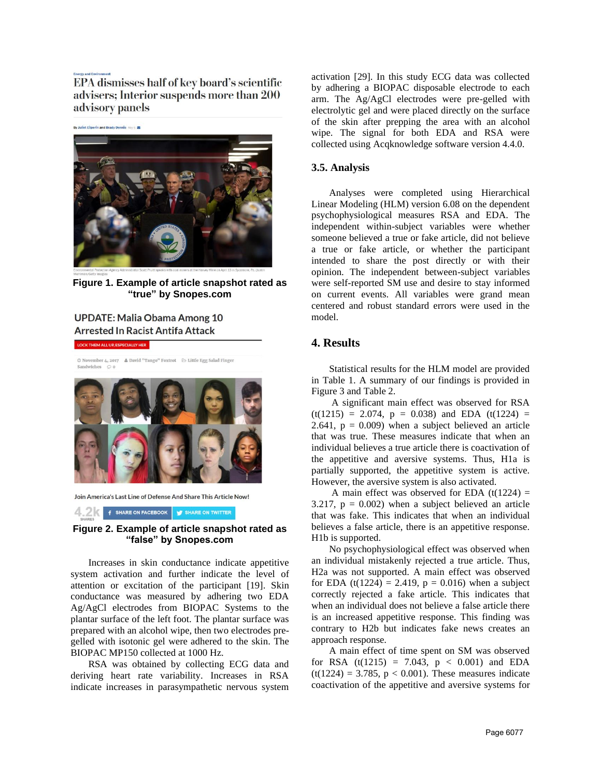EPA dismisses half of key board's scientific advisers; Interior suspends more than 200 advisory panels



**Figure 1. Example of article snapshot rated as "true" by Snopes.com**

# **UPDATE: Malia Obama Among 10 Arrested In Racist Antifa Attack**

**LOCK THEM ALL UP, ESPECIALLY HER** 



Join America's Last Line of Defense And Share This Article Now!

4.2 **f** SHARE ON FACEBOOK **y** SHARE ON TWITTER

#### **Figure 2. Example of article snapshot rated as "false" by Snopes.com**

Increases in skin conductance indicate appetitive system activation and further indicate the level of attention or excitation of the participant [19]. Skin conductance was measured by adhering two EDA Ag/AgCl electrodes from BIOPAC Systems to the plantar surface of the left foot. The plantar surface was prepared with an alcohol wipe, then two electrodes pregelled with isotonic gel were adhered to the skin. The BIOPAC MP150 collected at 1000 Hz.

RSA was obtained by collecting ECG data and deriving heart rate variability. Increases in RSA indicate increases in parasympathetic nervous system

activation [29]. In this study ECG data was collected by adhering a BIOPAC disposable electrode to each arm. The Ag/AgCl electrodes were pre-gelled with electrolytic gel and were placed directly on the surface of the skin after prepping the area with an alcohol wipe. The signal for both EDA and RSA were collected using Acqknowledge software version 4.4.0.

#### **3.5. Analysis**

Analyses were completed using Hierarchical Linear Modeling (HLM) version 6.08 on the dependent psychophysiological measures RSA and EDA. The independent within-subject variables were whether someone believed a true or fake article, did not believe a true or fake article, or whether the participant intended to share the post directly or with their opinion. The independent between-subject variables were self-reported SM use and desire to stay informed on current events. All variables were grand mean centered and robust standard errors were used in the model.

# **4. Results**

Statistical results for the HLM model are provided in Table 1. A summary of our findings is provided in Figure 3 and Table 2.

A significant main effect was observed for RSA  $(t(1215) = 2.074, p = 0.038)$  and EDA  $(t(1224) =$ 2.641,  $p = 0.009$ ) when a subject believed an article that was true. These measures indicate that when an individual believes a true article there is coactivation of the appetitive and aversive systems. Thus, H1a is partially supported, the appetitive system is active. However, the aversive system is also activated.

A main effect was observed for EDA  $(t(1224) =$ 3.217,  $p = 0.002$ ) when a subject believed an article that was fake. This indicates that when an individual believes a false article, there is an appetitive response. H1b is supported.

No psychophysiological effect was observed when an individual mistakenly rejected a true article. Thus, H2a was not supported. A main effect was observed for EDA (t(1224) = 2.419,  $p = 0.016$ ) when a subject correctly rejected a fake article. This indicates that when an individual does not believe a false article there is an increased appetitive response. This finding was contrary to H2b but indicates fake news creates an approach response.

A main effect of time spent on SM was observed for RSA  $(t(1215) = 7.043, p < 0.001)$  and EDA  $(t(1224) = 3.785, p < 0.001)$ . These measures indicate coactivation of the appetitive and aversive systems for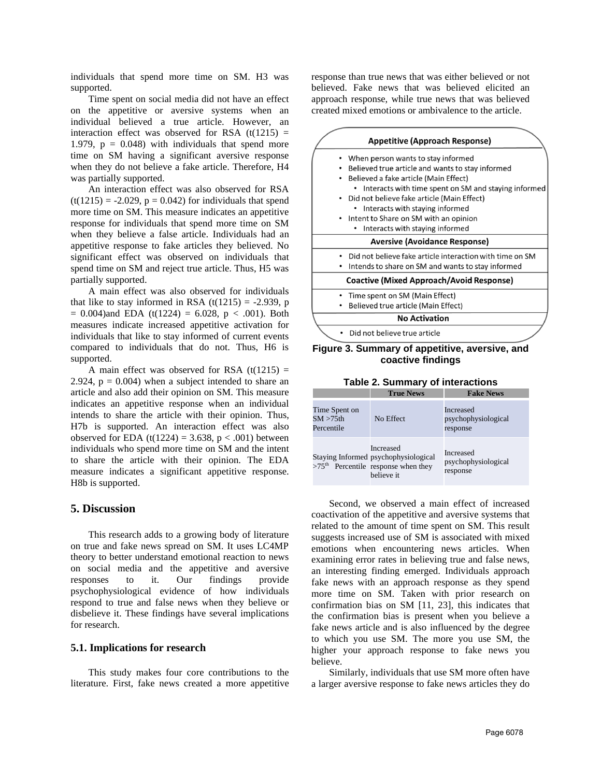individuals that spend more time on SM. H3 was supported.

Time spent on social media did not have an effect on the appetitive or aversive systems when an individual believed a true article. However, an interaction effect was observed for RSA  $(t(1215)$  = 1.979,  $p = 0.048$ ) with individuals that spend more time on SM having a significant aversive response when they do not believe a fake article. Therefore, H4 was partially supported.

An interaction effect was also observed for RSA  $(t(1215) = -2.029, p = 0.042)$  for individuals that spend more time on SM. This measure indicates an appetitive response for individuals that spend more time on SM when they believe a false article. Individuals had an appetitive response to fake articles they believed. No significant effect was observed on individuals that spend time on SM and reject true article. Thus, H5 was partially supported.

A main effect was also observed for individuals that like to stay informed in RSA  $(t(1215) = -2.939, p$  $= 0.004$ )and EDA (t(1224) = 6.028, p < .001). Both measures indicate increased appetitive activation for individuals that like to stay informed of current events compared to individuals that do not. Thus, H6 is supported.

A main effect was observed for RSA  $(t(1215) =$ 2.924,  $p = 0.004$ ) when a subject intended to share an article and also add their opinion on SM. This measure indicates an appetitive response when an individual intends to share the article with their opinion. Thus, H7b is supported. An interaction effect was also observed for EDA (t(1224) = 3.638,  $p < .001$ ) between individuals who spend more time on SM and the intent to share the article with their opinion. The EDA measure indicates a significant appetitive response. H8b is supported.

# **5. Discussion**

This research adds to a growing body of literature on true and fake news spread on SM. It uses LC4MP theory to better understand emotional reaction to news on social media and the appetitive and aversive responses to it. Our findings provide psychophysiological evidence of how individuals respond to true and false news when they believe or disbelieve it. These findings have several implications for research.

#### **5.1. Implications for research**

This study makes four core contributions to the literature. First, fake news created a more appetitive response than true news that was either believed or not believed. Fake news that was believed elicited an approach response, while true news that was believed created mixed emotions or ambivalence to the article.



#### **Figure 3. Summary of appetitive, aversive, and coactive findings**

**Table 2. Summary of interactions**

|                                             | <b>True News</b>                                                                                         | <b>Fake News</b>                             |
|---------------------------------------------|----------------------------------------------------------------------------------------------------------|----------------------------------------------|
| Time Spent on<br>$SM > 75$ th<br>Percentile | No Effect                                                                                                | Increased<br>psychophysiological<br>response |
|                                             | Increased<br>Staying Informed psychophysiological<br>$>75th$ Percentile response when they<br>believe it | Increased<br>psychophysiological<br>response |

Second, we observed a main effect of increased coactivation of the appetitive and aversive systems that related to the amount of time spent on SM. This result suggests increased use of SM is associated with mixed emotions when encountering news articles. When examining error rates in believing true and false news, an interesting finding emerged. Individuals approach fake news with an approach response as they spend more time on SM. Taken with prior research on confirmation bias on SM [11, 23], this indicates that the confirmation bias is present when you believe a fake news article and is also influenced by the degree to which you use SM. The more you use SM, the higher your approach response to fake news you believe.

Similarly, individuals that use SM more often have a larger aversive response to fake news articles they do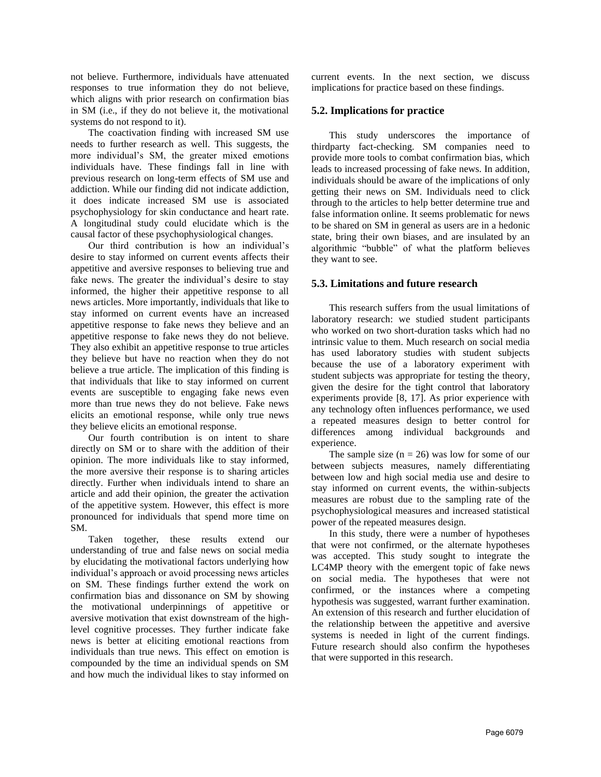not believe. Furthermore, individuals have attenuated responses to true information they do not believe, which aligns with prior research on confirmation bias in SM (i.e., if they do not believe it, the motivational systems do not respond to it).

The coactivation finding with increased SM use needs to further research as well. This suggests, the more individual's SM, the greater mixed emotions individuals have. These findings fall in line with previous research on long-term effects of SM use and addiction. While our finding did not indicate addiction, it does indicate increased SM use is associated psychophysiology for skin conductance and heart rate. A longitudinal study could elucidate which is the causal factor of these psychophysiological changes.

Our third contribution is how an individual's desire to stay informed on current events affects their appetitive and aversive responses to believing true and fake news. The greater the individual's desire to stay informed, the higher their appetitive response to all news articles. More importantly, individuals that like to stay informed on current events have an increased appetitive response to fake news they believe and an appetitive response to fake news they do not believe. They also exhibit an appetitive response to true articles they believe but have no reaction when they do not believe a true article. The implication of this finding is that individuals that like to stay informed on current events are susceptible to engaging fake news even more than true news they do not believe. Fake news elicits an emotional response, while only true news they believe elicits an emotional response.

Our fourth contribution is on intent to share directly on SM or to share with the addition of their opinion. The more individuals like to stay informed, the more aversive their response is to sharing articles directly. Further when individuals intend to share an article and add their opinion, the greater the activation of the appetitive system. However, this effect is more pronounced for individuals that spend more time on SM.

Taken together, these results extend our understanding of true and false news on social media by elucidating the motivational factors underlying how individual's approach or avoid processing news articles on SM. These findings further extend the work on confirmation bias and dissonance on SM by showing the motivational underpinnings of appetitive or aversive motivation that exist downstream of the highlevel cognitive processes. They further indicate fake news is better at eliciting emotional reactions from individuals than true news. This effect on emotion is compounded by the time an individual spends on SM and how much the individual likes to stay informed on

current events. In the next section, we discuss implications for practice based on these findings.

### **5.2. Implications for practice**

This study underscores the importance of thirdparty fact-checking. SM companies need to provide more tools to combat confirmation bias, which leads to increased processing of fake news. In addition, individuals should be aware of the implications of only getting their news on SM. Individuals need to click through to the articles to help better determine true and false information online. It seems problematic for news to be shared on SM in general as users are in a hedonic state, bring their own biases, and are insulated by an algorithmic "bubble" of what the platform believes they want to see.

# **5.3. Limitations and future research**

This research suffers from the usual limitations of laboratory research: we studied student participants who worked on two short-duration tasks which had no intrinsic value to them. Much research on social media has used laboratory studies with student subjects because the use of a laboratory experiment with student subjects was appropriate for testing the theory, given the desire for the tight control that laboratory experiments provide [8, 17]. As prior experience with any technology often influences performance, we used a repeated measures design to better control for differences among individual backgrounds and experience.

The sample size  $(n = 26)$  was low for some of our between subjects measures, namely differentiating between low and high social media use and desire to stay informed on current events, the within-subjects measures are robust due to the sampling rate of the psychophysiological measures and increased statistical power of the repeated measures design.

In this study, there were a number of hypotheses that were not confirmed, or the alternate hypotheses was accepted. This study sought to integrate the LC4MP theory with the emergent topic of fake news on social media. The hypotheses that were not confirmed, or the instances where a competing hypothesis was suggested, warrant further examination. An extension of this research and further elucidation of the relationship between the appetitive and aversive systems is needed in light of the current findings. Future research should also confirm the hypotheses that were supported in this research.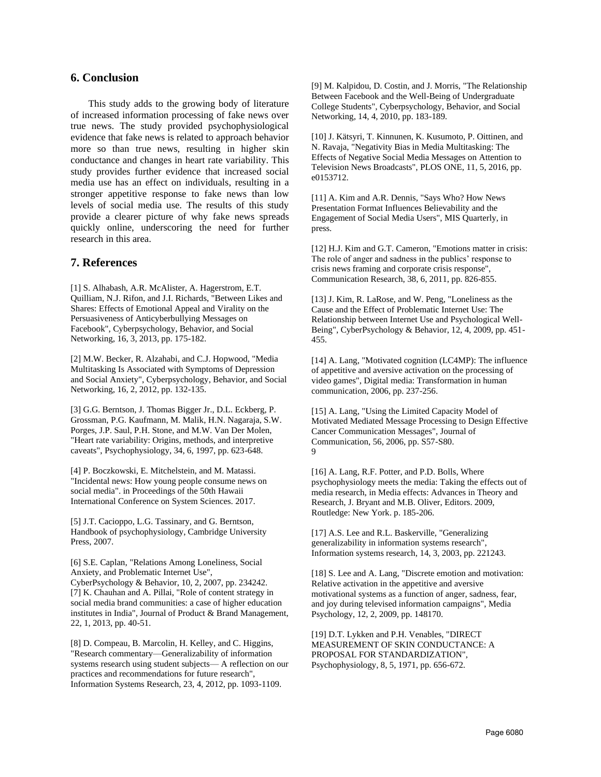### **6. Conclusion**

This study adds to the growing body of literature of increased information processing of fake news over true news. The study provided psychophysiological evidence that fake news is related to approach behavior more so than true news, resulting in higher skin conductance and changes in heart rate variability. This study provides further evidence that increased social media use has an effect on individuals, resulting in a stronger appetitive response to fake news than low levels of social media use. The results of this study provide a clearer picture of why fake news spreads quickly online, underscoring the need for further research in this area.

#### **7. References**

[1] S. Alhabash, A.R. McAlister, A. Hagerstrom, E.T. Quilliam, N.J. Rifon, and J.I. Richards, "Between Likes and Shares: Effects of Emotional Appeal and Virality on the Persuasiveness of Anticyberbullying Messages on Facebook", Cyberpsychology, Behavior, and Social Networking, 16, 3, 2013, pp. 175-182.

[2] M.W. Becker, R. Alzahabi, and C.J. Hopwood, "Media Multitasking Is Associated with Symptoms of Depression and Social Anxiety", Cyberpsychology, Behavior, and Social Networking, 16, 2, 2012, pp. 132-135.

[3] G.G. Berntson, J. Thomas Bigger Jr., D.L. Eckberg, P. Grossman, P.G. Kaufmann, M. Malik, H.N. Nagaraja, S.W. Porges, J.P. Saul, P.H. Stone, and M.W. Van Der Molen, "Heart rate variability: Origins, methods, and interpretive caveats", Psychophysiology, 34, 6, 1997, pp. 623-648.

[4] P. Boczkowski, E. Mitchelstein, and M. Matassi. "Incidental news: How young people consume news on social media". in Proceedings of the 50th Hawaii International Conference on System Sciences. 2017.

[5] J.T. Cacioppo, L.G. Tassinary, and G. Berntson, Handbook of psychophysiology, Cambridge University Press, 2007.

[6] S.E. Caplan, "Relations Among Loneliness, Social Anxiety, and Problematic Internet Use", CyberPsychology & Behavior, 10, 2, 2007, pp. 234242. [7] K. Chauhan and A. Pillai, "Role of content strategy in social media brand communities: a case of higher education institutes in India", Journal of Product & Brand Management, 22, 1, 2013, pp. 40-51.

[8] D. Compeau, B. Marcolin, H. Kelley, and C. Higgins, "Research commentary—Generalizability of information systems research using student subjects— A reflection on our practices and recommendations for future research", Information Systems Research, 23, 4, 2012, pp. 1093-1109.

[9] M. Kalpidou, D. Costin, and J. Morris, "The Relationship Between Facebook and the Well-Being of Undergraduate College Students", Cyberpsychology, Behavior, and Social Networking, 14, 4, 2010, pp. 183-189.

[10] J. Kätsyri, T. Kinnunen, K. Kusumoto, P. Oittinen, and N. Ravaja, "Negativity Bias in Media Multitasking: The Effects of Negative Social Media Messages on Attention to Television News Broadcasts", PLOS ONE, 11, 5, 2016, pp. e0153712.

[11] A. Kim and A.R. Dennis, "Says Who? How News Presentation Format Influences Believability and the Engagement of Social Media Users", MIS Quarterly, in press.

[12] H.J. Kim and G.T. Cameron, "Emotions matter in crisis: The role of anger and sadness in the publics' response to crisis news framing and corporate crisis response", Communication Research, 38, 6, 2011, pp. 826-855.

[13] J. Kim, R. LaRose, and W. Peng, "Loneliness as the Cause and the Effect of Problematic Internet Use: The Relationship between Internet Use and Psychological Well-Being", CyberPsychology & Behavior, 12, 4, 2009, pp. 451- 455.

[14] A. Lang, "Motivated cognition (LC4MP): The influence of appetitive and aversive activation on the processing of video games", Digital media: Transformation in human communication, 2006, pp. 237-256.

[15] A. Lang, "Using the Limited Capacity Model of Motivated Mediated Message Processing to Design Effective Cancer Communication Messages", Journal of Communication, 56, 2006, pp. S57-S80. 9

[16] A. Lang, R.F. Potter, and P.D. Bolls, Where psychophysiology meets the media: Taking the effects out of media research, in Media effects: Advances in Theory and Research, J. Bryant and M.B. Oliver, Editors. 2009, Routledge: New York. p. 185-206.

[17] A.S. Lee and R.L. Baskerville, "Generalizing generalizability in information systems research", Information systems research, 14, 3, 2003, pp. 221243.

[18] S. Lee and A. Lang, "Discrete emotion and motivation: Relative activation in the appetitive and aversive motivational systems as a function of anger, sadness, fear, and joy during televised information campaigns", Media Psychology, 12, 2, 2009, pp. 148170.

[19] D.T. Lykken and P.H. Venables, "DIRECT MEASUREMENT OF SKIN CONDUCTANCE: A PROPOSAL FOR STANDARDIZATION", Psychophysiology, 8, 5, 1971, pp. 656-672.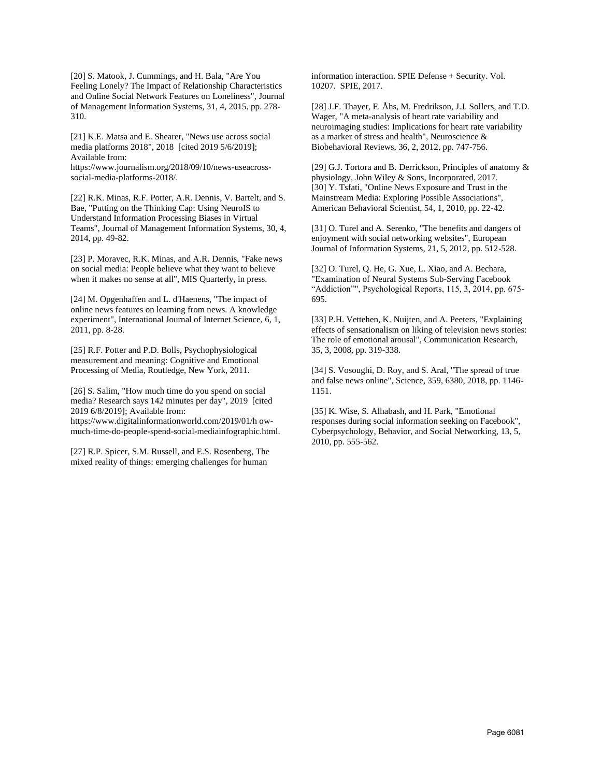[20] S. Matook, J. Cummings, and H. Bala, "Are You Feeling Lonely? The Impact of Relationship Characteristics and Online Social Network Features on Loneliness", Journal of Management Information Systems, 31, 4, 2015, pp. 278- 310.

[21] K.E. Matsa and E. Shearer, "News use across social media platforms 2018", 2018 [cited 2019 5/6/2019]; Available from:

https://www.journalism.org/2018/09/10/news-useacrosssocial-media-platforms-2018/.

[22] R.K. Minas, R.F. Potter, A.R. Dennis, V. Bartelt, and S. Bae, "Putting on the Thinking Cap: Using NeuroIS to Understand Information Processing Biases in Virtual Teams", Journal of Management Information Systems, 30, 4, 2014, pp. 49-82.

[23] P. Moravec, R.K. Minas, and A.R. Dennis, "Fake news on social media: People believe what they want to believe when it makes no sense at all", MIS Quarterly, in press.

[24] M. Opgenhaffen and L. d'Haenens, "The impact of online news features on learning from news. A knowledge experiment", International Journal of Internet Science, 6, 1, 2011, pp. 8-28.

[25] R.F. Potter and P.D. Bolls, Psychophysiological measurement and meaning: Cognitive and Emotional Processing of Media, Routledge, New York, 2011.

[26] S. Salim, "How much time do you spend on social media? Research says 142 minutes per day", 2019 [cited 2019 6/8/2019]; Available from: https://www.digitalinformationworld.com/2019/01/h ow-

much-time-do-people-spend-social-mediainfographic.html.

[27] R.P. Spicer, S.M. Russell, and E.S. Rosenberg, The mixed reality of things: emerging challenges for human

information interaction. SPIE Defense + Security. Vol. 10207. SPIE, 2017.

[28] J.F. Thayer, F. Åhs, M. Fredrikson, J.J. Sollers, and T.D. Wager, "A meta-analysis of heart rate variability and neuroimaging studies: Implications for heart rate variability as a marker of stress and health", Neuroscience & Biobehavioral Reviews, 36, 2, 2012, pp. 747-756.

[29] G.J. Tortora and B. Derrickson, Principles of anatomy  $\&$ physiology, John Wiley & Sons, Incorporated, 2017. [30] Y. Tsfati, "Online News Exposure and Trust in the Mainstream Media: Exploring Possible Associations", American Behavioral Scientist, 54, 1, 2010, pp. 22-42.

[31] O. Turel and A. Serenko, "The benefits and dangers of enjoyment with social networking websites", European Journal of Information Systems, 21, 5, 2012, pp. 512-528.

[32] O. Turel, Q. He, G. Xue, L. Xiao, and A. Bechara, "Examination of Neural Systems Sub-Serving Facebook "Addiction"", Psychological Reports, 115, 3, 2014, pp. 675-695.

[33] P.H. Vettehen, K. Nuijten, and A. Peeters, "Explaining effects of sensationalism on liking of television news stories: The role of emotional arousal", Communication Research, 35, 3, 2008, pp. 319-338.

[34] S. Vosoughi, D. Roy, and S. Aral, "The spread of true and false news online", Science, 359, 6380, 2018, pp. 1146- 1151.

[35] K. Wise, S. Alhabash, and H. Park, "Emotional responses during social information seeking on Facebook", Cyberpsychology, Behavior, and Social Networking, 13, 5, 2010, pp. 555-562.